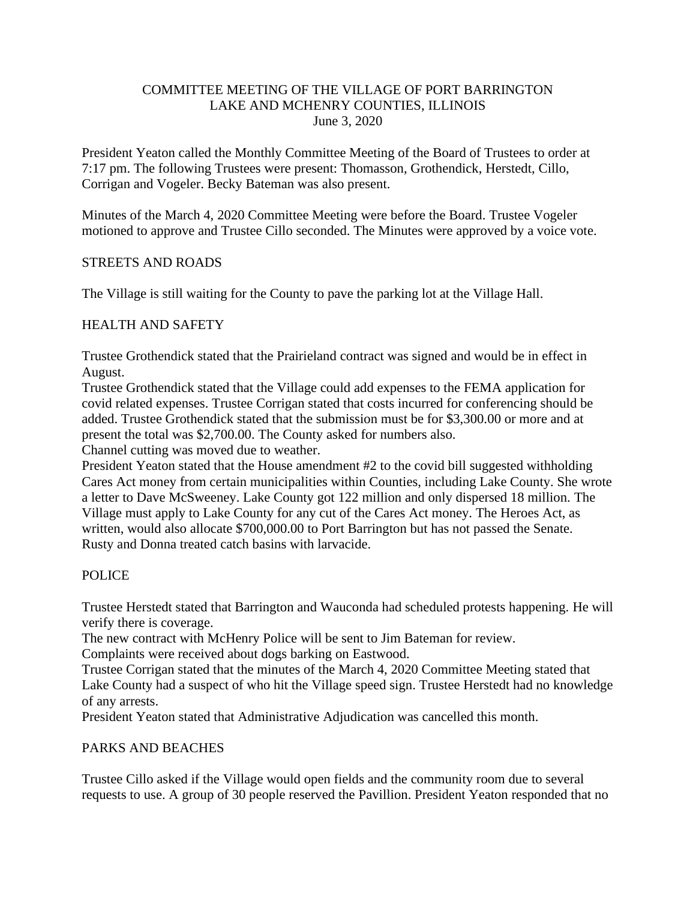#### COMMITTEE MEETING OF THE VILLAGE OF PORT BARRINGTON LAKE AND MCHENRY COUNTIES, ILLINOIS June 3, 2020

President Yeaton called the Monthly Committee Meeting of the Board of Trustees to order at 7:17 pm. The following Trustees were present: Thomasson, Grothendick, Herstedt, Cillo, Corrigan and Vogeler. Becky Bateman was also present.

Minutes of the March 4, 2020 Committee Meeting were before the Board. Trustee Vogeler motioned to approve and Trustee Cillo seconded. The Minutes were approved by a voice vote.

### STREETS AND ROADS

The Village is still waiting for the County to pave the parking lot at the Village Hall.

### HEALTH AND SAFETY

Trustee Grothendick stated that the Prairieland contract was signed and would be in effect in August.

Trustee Grothendick stated that the Village could add expenses to the FEMA application for covid related expenses. Trustee Corrigan stated that costs incurred for conferencing should be added. Trustee Grothendick stated that the submission must be for \$3,300.00 or more and at present the total was \$2,700.00. The County asked for numbers also.

Channel cutting was moved due to weather.

President Yeaton stated that the House amendment #2 to the covid bill suggested withholding Cares Act money from certain municipalities within Counties, including Lake County. She wrote a letter to Dave McSweeney. Lake County got 122 million and only dispersed 18 million. The Village must apply to Lake County for any cut of the Cares Act money. The Heroes Act, as written, would also allocate \$700,000.00 to Port Barrington but has not passed the Senate. Rusty and Donna treated catch basins with larvacide.

#### POLICE

Trustee Herstedt stated that Barrington and Wauconda had scheduled protests happening. He will verify there is coverage.

The new contract with McHenry Police will be sent to Jim Bateman for review.

Complaints were received about dogs barking on Eastwood.

Trustee Corrigan stated that the minutes of the March 4, 2020 Committee Meeting stated that Lake County had a suspect of who hit the Village speed sign. Trustee Herstedt had no knowledge of any arrests.

President Yeaton stated that Administrative Adjudication was cancelled this month.

#### PARKS AND BEACHES

Trustee Cillo asked if the Village would open fields and the community room due to several requests to use. A group of 30 people reserved the Pavillion. President Yeaton responded that no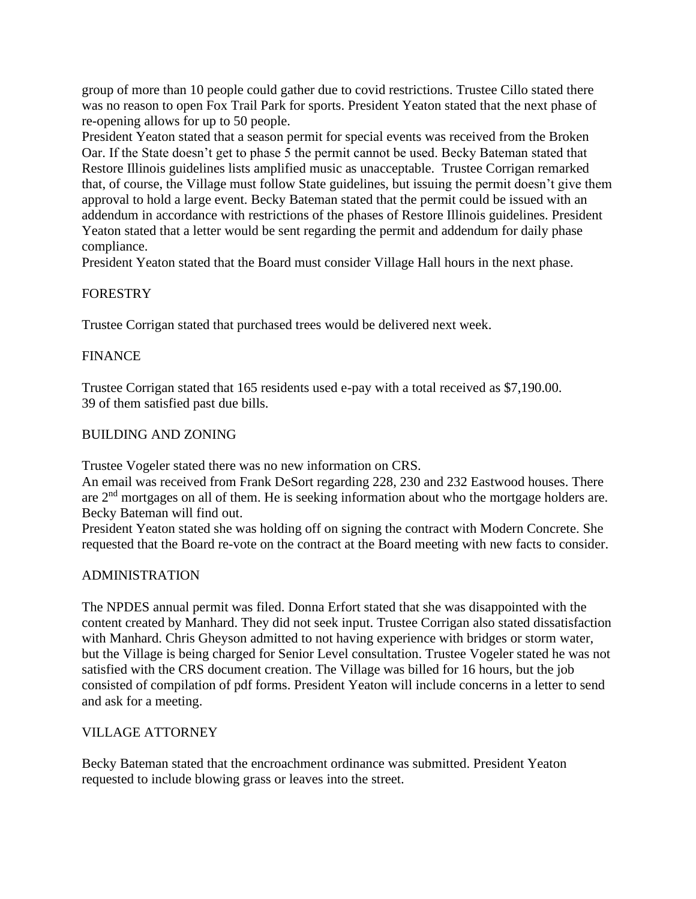group of more than 10 people could gather due to covid restrictions. Trustee Cillo stated there was no reason to open Fox Trail Park for sports. President Yeaton stated that the next phase of re-opening allows for up to 50 people.

President Yeaton stated that a season permit for special events was received from the Broken Oar. If the State doesn't get to phase 5 the permit cannot be used. Becky Bateman stated that Restore Illinois guidelines lists amplified music as unacceptable. Trustee Corrigan remarked that, of course, the Village must follow State guidelines, but issuing the permit doesn't give them approval to hold a large event. Becky Bateman stated that the permit could be issued with an addendum in accordance with restrictions of the phases of Restore Illinois guidelines. President Yeaton stated that a letter would be sent regarding the permit and addendum for daily phase compliance.

President Yeaton stated that the Board must consider Village Hall hours in the next phase.

# FORESTRY

Trustee Corrigan stated that purchased trees would be delivered next week.

# FINANCE

Trustee Corrigan stated that 165 residents used e-pay with a total received as \$7,190.00. 39 of them satisfied past due bills.

# BUILDING AND ZONING

Trustee Vogeler stated there was no new information on CRS.

An email was received from Frank DeSort regarding 228, 230 and 232 Eastwood houses. There are 2nd mortgages on all of them. He is seeking information about who the mortgage holders are. Becky Bateman will find out.

President Yeaton stated she was holding off on signing the contract with Modern Concrete. She requested that the Board re-vote on the contract at the Board meeting with new facts to consider.

# ADMINISTRATION

The NPDES annual permit was filed. Donna Erfort stated that she was disappointed with the content created by Manhard. They did not seek input. Trustee Corrigan also stated dissatisfaction with Manhard. Chris Gheyson admitted to not having experience with bridges or storm water, but the Village is being charged for Senior Level consultation. Trustee Vogeler stated he was not satisfied with the CRS document creation. The Village was billed for 16 hours, but the job consisted of compilation of pdf forms. President Yeaton will include concerns in a letter to send and ask for a meeting.

# VILLAGE ATTORNEY

Becky Bateman stated that the encroachment ordinance was submitted. President Yeaton requested to include blowing grass or leaves into the street.